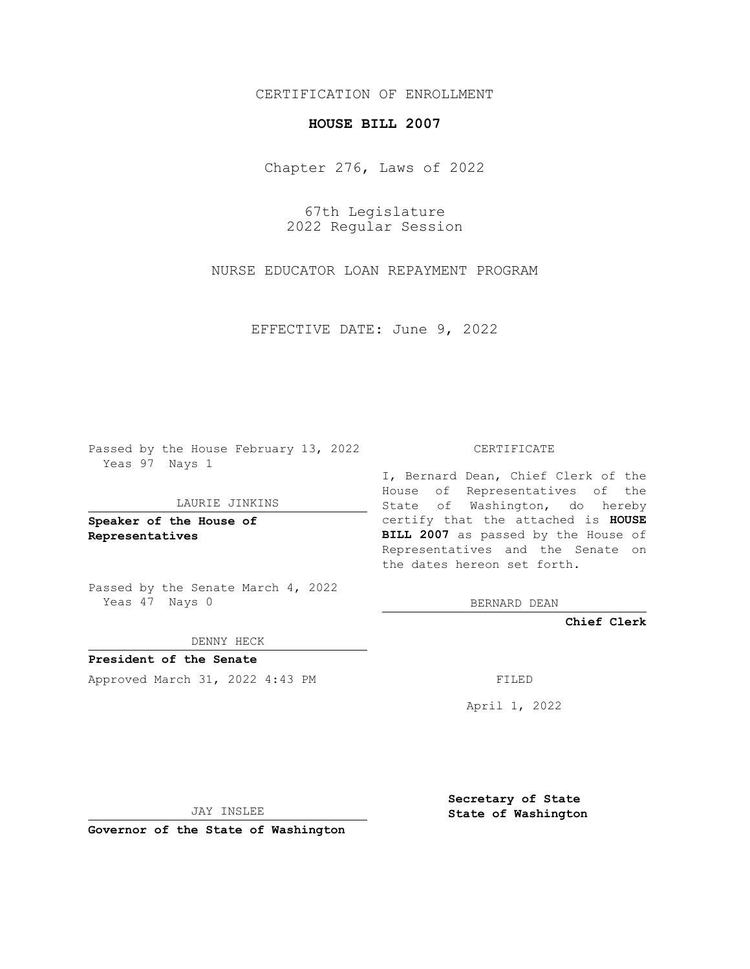# CERTIFICATION OF ENROLLMENT

# **HOUSE BILL 2007**

Chapter 276, Laws of 2022

67th Legislature 2022 Regular Session

NURSE EDUCATOR LOAN REPAYMENT PROGRAM

EFFECTIVE DATE: June 9, 2022

Passed by the House February 13, 2022 Yeas 97 Nays 1

#### LAURIE JINKINS

**Speaker of the House of Representatives**

Passed by the Senate March 4, 2022 Yeas 47 Nays 0

DENNY HECK

**President of the Senate** Approved March 31, 2022 4:43 PM FILED

CERTIFICATE

I, Bernard Dean, Chief Clerk of the House of Representatives of the State of Washington, do hereby certify that the attached is **HOUSE BILL 2007** as passed by the House of Representatives and the Senate on the dates hereon set forth.

BERNARD DEAN

**Chief Clerk**

April 1, 2022

JAY INSLEE

**Governor of the State of Washington**

**Secretary of State State of Washington**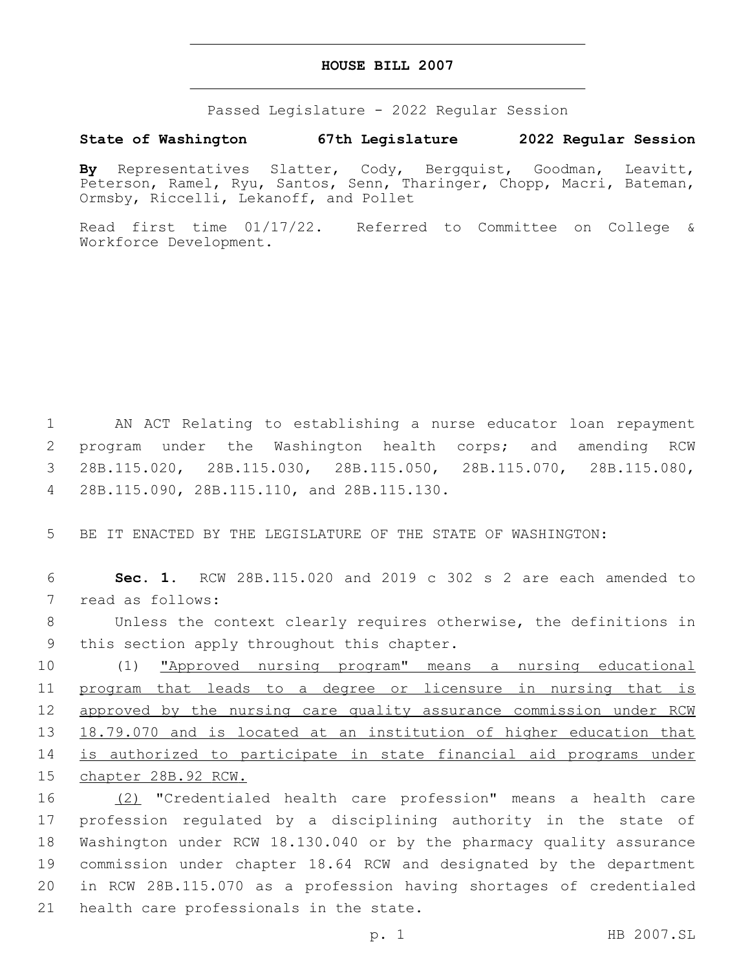### **HOUSE BILL 2007**

Passed Legislature - 2022 Regular Session

# **State of Washington 67th Legislature 2022 Regular Session**

**By** Representatives Slatter, Cody, Bergquist, Goodman, Leavitt, Peterson, Ramel, Ryu, Santos, Senn, Tharinger, Chopp, Macri, Bateman, Ormsby, Riccelli, Lekanoff, and Pollet

Read first time 01/17/22. Referred to Committee on College & Workforce Development.

 AN ACT Relating to establishing a nurse educator loan repayment program under the Washington health corps; and amending RCW 28B.115.020, 28B.115.030, 28B.115.050, 28B.115.070, 28B.115.080, 28B.115.090, 28B.115.110, and 28B.115.130.4

5 BE IT ENACTED BY THE LEGISLATURE OF THE STATE OF WASHINGTON:

6 **Sec. 1.** RCW 28B.115.020 and 2019 c 302 s 2 are each amended to 7 read as follows:

8 Unless the context clearly requires otherwise, the definitions in 9 this section apply throughout this chapter.

 (1) "Approved nursing program" means a nursing educational program that leads to a degree or licensure in nursing that is approved by the nursing care quality assurance commission under RCW 18.79.070 and is located at an institution of higher education that is authorized to participate in state financial aid programs under chapter 28B.92 RCW.

 (2) "Credentialed health care profession" means a health care profession regulated by a disciplining authority in the state of Washington under RCW 18.130.040 or by the pharmacy quality assurance commission under chapter 18.64 RCW and designated by the department in RCW 28B.115.070 as a profession having shortages of credentialed 21 health care professionals in the state.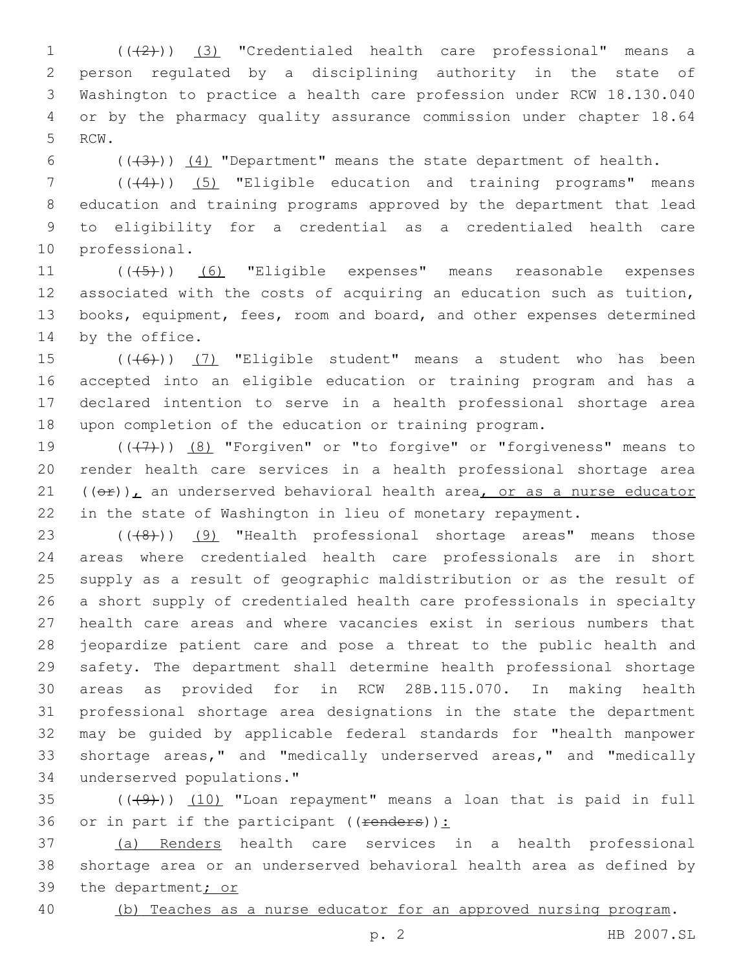1 (( $(2)$ )) (3) "Credentialed health care professional" means a person regulated by a disciplining authority in the state of Washington to practice a health care profession under RCW 18.130.040 or by the pharmacy quality assurance commission under chapter 18.64 5 RCW.

6  $((+3))$   $(4)$  "Department" means the state department of health.

7 ((+4))) (5) "Eligible education and training programs" means education and training programs approved by the department that lead to eligibility for a credential as a credentialed health care 10 professional.

11 (((45)) (6) "Eligible expenses" means reasonable expenses associated with the costs of acquiring an education such as tuition, books, equipment, fees, room and board, and other expenses determined 14 by the office.

 $((+6))$   $(7)$  "Eligible student" means a student who has been accepted into an eligible education or training program and has a declared intention to serve in a health professional shortage area upon completion of the education or training program.

 $((+7+))$   $(8)$  "Forgiven" or "to forgive" or "forgiveness" means to render health care services in a health professional shortage area  $((\theta \cdot \hat{r}))$ , an underserved behavioral health area, or as a nurse educator in the state of Washington in lieu of monetary repayment.

23 (((8)) (9) "Health professional shortage areas" means those areas where credentialed health care professionals are in short supply as a result of geographic maldistribution or as the result of a short supply of credentialed health care professionals in specialty health care areas and where vacancies exist in serious numbers that jeopardize patient care and pose a threat to the public health and safety. The department shall determine health professional shortage areas as provided for in RCW 28B.115.070. In making health professional shortage area designations in the state the department may be guided by applicable federal standards for "health manpower shortage areas," and "medically underserved areas," and "medically underserved populations."34

 $(1)$   $(1)$   $(10)$  "Loan repayment" means a loan that is paid in full 36 or in part if the participant  $((**renders**))$ :

 (a) Renders health care services in a health professional shortage area or an underserved behavioral health area as defined by 39 the department; or

(b) Teaches as a nurse educator for an approved nursing program.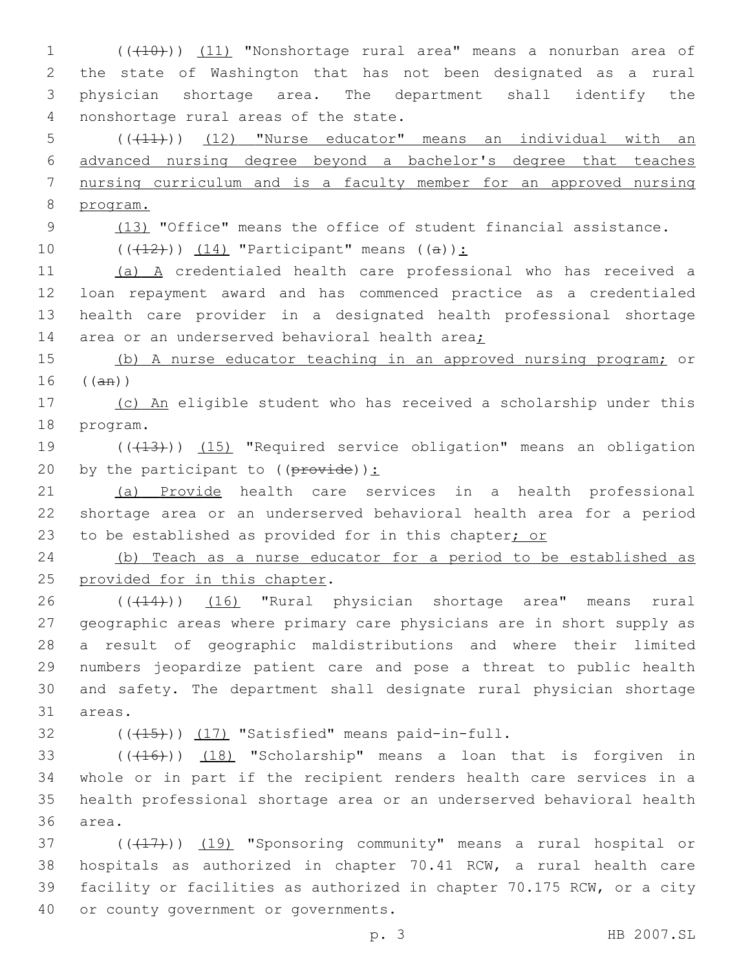1 (((10))) (11) "Nonshortage rural area" means a nonurban area of 2 the state of Washington that has not been designated as a rural 3 physician shortage area. The department shall identify the 4 nonshortage rural areas of the state.

 (((11))) (12) "Nurse educator" means an individual with an advanced nursing degree beyond a bachelor's degree that teaches nursing curriculum and is a faculty member for an approved nursing 8 program.

9 (13) "Office" means the office of student financial assistance.

10  $((+12)^{n})$   $(14)$  "Participant" means  $((a))$ :

 (a) A credentialed health care professional who has received a loan repayment award and has commenced practice as a credentialed health care provider in a designated health professional shortage 14 area or an underserved behavioral health area;

15 (b) A nurse educator teaching in an approved nursing program; or  $16$  (( $\text{an}$ ))

17 (c) An eligible student who has received a scholarship under this 18 program.

19 (((13))) (15) "Required service obligation" means an obligation 20 by the participant to  $((\text{prove})):$ 

21 (a) Provide health care services in a health professional 22 shortage area or an underserved behavioral health area for a period 23 to be established as provided for in this chapter; or

24 (b) Teach as a nurse educator for a period to be established as 25 provided for in this chapter.

26 (((14))) (16) "Rural physician shortage area" means rural geographic areas where primary care physicians are in short supply as a result of geographic maldistributions and where their limited numbers jeopardize patient care and pose a threat to public health and safety. The department shall designate rural physician shortage 31 areas.

 $($   $($   $($   $($   $($   $+$   $15$  $))$   $($   $17)$  "Satisfied" means paid-in-full.

33 (((416))) (18) "Scholarship" means a loan that is forgiven in 34 whole or in part if the recipient renders health care services in a 35 health professional shortage area or an underserved behavioral health 36 area.

37 (((417))) (19) "Sponsoring community" means a rural hospital or 38 hospitals as authorized in chapter 70.41 RCW, a rural health care 39 facility or facilities as authorized in chapter 70.175 RCW, or a city 40 or county government or governments.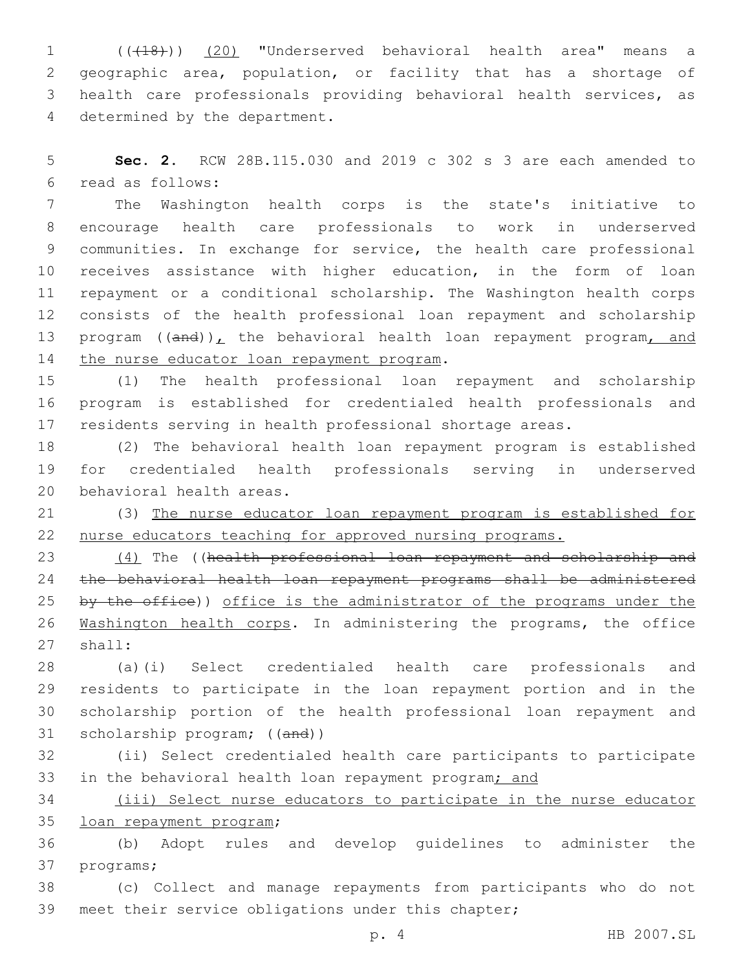(((18))) (20) "Underserved behavioral health area" means a geographic area, population, or facility that has a shortage of health care professionals providing behavioral health services, as 4 determined by the department.

 **Sec. 2.** RCW 28B.115.030 and 2019 c 302 s 3 are each amended to read as follows:6

 The Washington health corps is the state's initiative to encourage health care professionals to work in underserved communities. In exchange for service, the health care professional receives assistance with higher education, in the form of loan repayment or a conditional scholarship. The Washington health corps consists of the health professional loan repayment and scholarship 13 program  $((and))_L$  the behavioral health loan repayment program, and 14 the nurse educator loan repayment program.

 (1) The health professional loan repayment and scholarship program is established for credentialed health professionals and residents serving in health professional shortage areas.

 (2) The behavioral health loan repayment program is established for credentialed health professionals serving in underserved 20 behavioral health areas.

 (3) The nurse educator loan repayment program is established for nurse educators teaching for approved nursing programs.

23 (4) The ((health professional loan repayment and scholarship and the behavioral health loan repayment programs shall be administered 25 by the office)) office is the administrator of the programs under the Washington health corps. In administering the programs, the office 27 shall:

 (a)(i) Select credentialed health care professionals and residents to participate in the loan repayment portion and in the scholarship portion of the health professional loan repayment and 31 scholarship program; ((and))

 (ii) Select credentialed health care participants to participate 33 in the behavioral health loan repayment program; and

 (iii) Select nurse educators to participate in the nurse educator 35 loan repayment program;

 (b) Adopt rules and develop guidelines to administer the 37 programs;

 (c) Collect and manage repayments from participants who do not meet their service obligations under this chapter;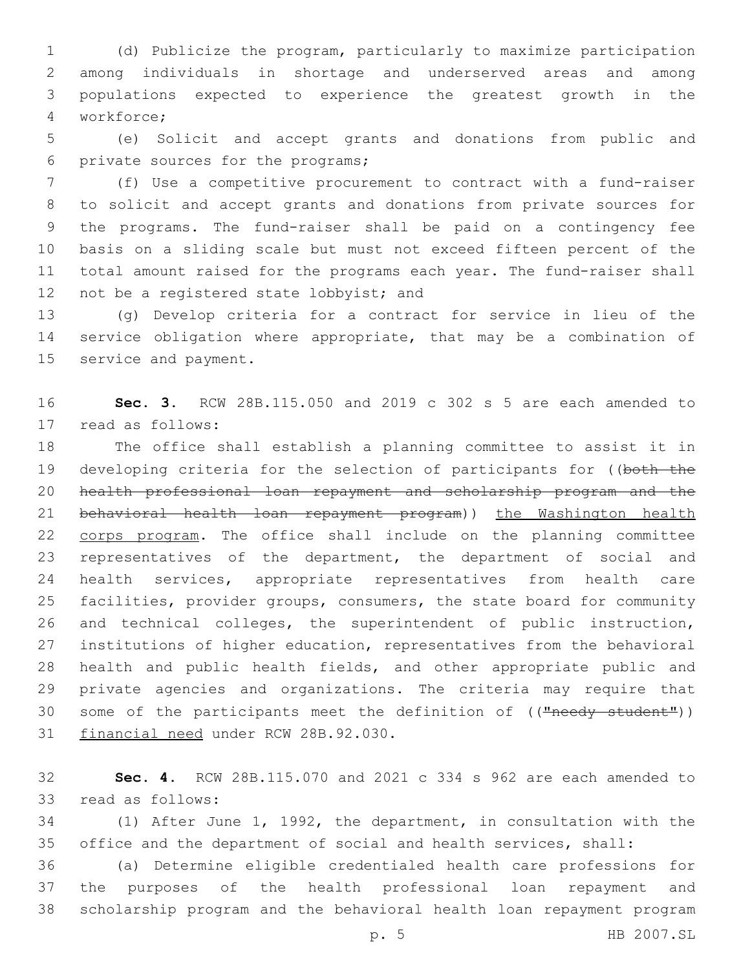(d) Publicize the program, particularly to maximize participation among individuals in shortage and underserved areas and among populations expected to experience the greatest growth in the workforce;4

 (e) Solicit and accept grants and donations from public and 6 private sources for the programs;

 (f) Use a competitive procurement to contract with a fund-raiser to solicit and accept grants and donations from private sources for the programs. The fund-raiser shall be paid on a contingency fee basis on a sliding scale but must not exceed fifteen percent of the total amount raised for the programs each year. The fund-raiser shall 12 not be a registered state lobbyist; and

 (g) Develop criteria for a contract for service in lieu of the service obligation where appropriate, that may be a combination of 15 service and payment.

 **Sec. 3.** RCW 28B.115.050 and 2019 c 302 s 5 are each amended to 17 read as follows:

 The office shall establish a planning committee to assist it in 19 developing criteria for the selection of participants for ((both the health professional loan repayment and scholarship program and the 21 behavioral health loan repayment program)) the Washington health 22 corps program. The office shall include on the planning committee representatives of the department, the department of social and health services, appropriate representatives from health care facilities, provider groups, consumers, the state board for community and technical colleges, the superintendent of public instruction, institutions of higher education, representatives from the behavioral health and public health fields, and other appropriate public and private agencies and organizations. The criteria may require that 30 some of the participants meet the definition of (("needy student")) 31 financial need under RCW 28B.92.030.

 **Sec. 4.** RCW 28B.115.070 and 2021 c 334 s 962 are each amended to 33 read as follows:

 (1) After June 1, 1992, the department, in consultation with the office and the department of social and health services, shall:

 (a) Determine eligible credentialed health care professions for the purposes of the health professional loan repayment and scholarship program and the behavioral health loan repayment program

p. 5 HB 2007.SL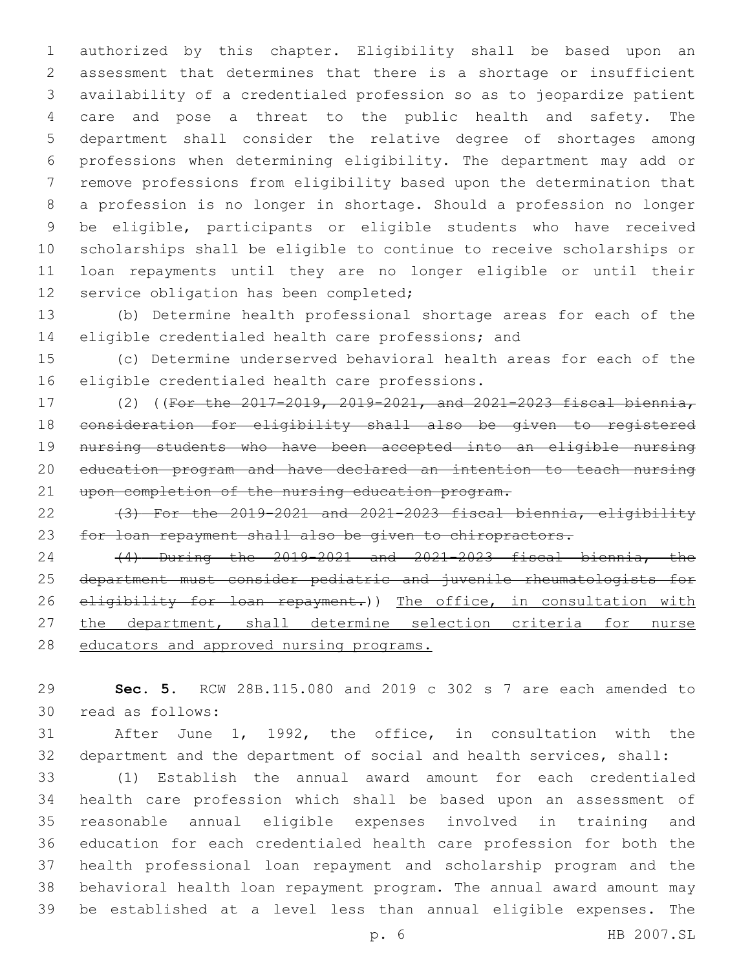authorized by this chapter. Eligibility shall be based upon an assessment that determines that there is a shortage or insufficient availability of a credentialed profession so as to jeopardize patient care and pose a threat to the public health and safety. The department shall consider the relative degree of shortages among professions when determining eligibility. The department may add or remove professions from eligibility based upon the determination that a profession is no longer in shortage. Should a profession no longer be eligible, participants or eligible students who have received scholarships shall be eligible to continue to receive scholarships or loan repayments until they are no longer eligible or until their 12 service obligation has been completed;

 (b) Determine health professional shortage areas for each of the eligible credentialed health care professions; and

 (c) Determine underserved behavioral health areas for each of the 16 eligible credentialed health care professions.

 (2) ((For the 2017-2019, 2019-2021, and 2021-2023 fiscal biennia, consideration for eligibility shall also be given to registered nursing students who have been accepted into an eligible nursing education program and have declared an intention to teach nursing 21 upon completion of the nursing education program.

22  $(3)$  For the 2019-2021 and 2021-2023 fiscal biennia, eligibility for loan repayment shall also be given to chiropractors.

 (4) During the 2019-2021 and 2021-2023 fiscal biennia, the department must consider pediatric and juvenile rheumatologists for 26 eligibility for loan repayment.)) The office, in consultation with 27 the department, shall determine selection criteria for nurse 28 educators and approved nursing programs.

 **Sec. 5.** RCW 28B.115.080 and 2019 c 302 s 7 are each amended to read as follows:30

 After June 1, 1992, the office, in consultation with the department and the department of social and health services, shall:

 (1) Establish the annual award amount for each credentialed health care profession which shall be based upon an assessment of reasonable annual eligible expenses involved in training and education for each credentialed health care profession for both the health professional loan repayment and scholarship program and the behavioral health loan repayment program. The annual award amount may be established at a level less than annual eligible expenses. The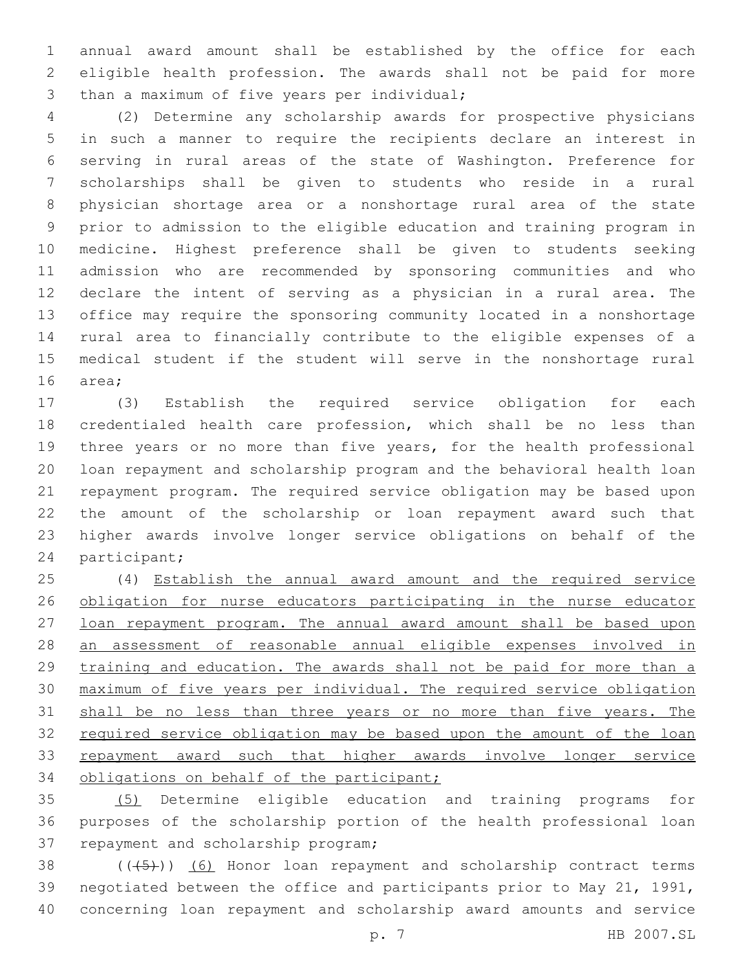annual award amount shall be established by the office for each eligible health profession. The awards shall not be paid for more 3 than a maximum of five years per individual;

 (2) Determine any scholarship awards for prospective physicians in such a manner to require the recipients declare an interest in serving in rural areas of the state of Washington. Preference for scholarships shall be given to students who reside in a rural physician shortage area or a nonshortage rural area of the state prior to admission to the eligible education and training program in medicine. Highest preference shall be given to students seeking admission who are recommended by sponsoring communities and who declare the intent of serving as a physician in a rural area. The office may require the sponsoring community located in a nonshortage rural area to financially contribute to the eligible expenses of a medical student if the student will serve in the nonshortage rural 16 area;

 (3) Establish the required service obligation for each credentialed health care profession, which shall be no less than three years or no more than five years, for the health professional loan repayment and scholarship program and the behavioral health loan repayment program. The required service obligation may be based upon the amount of the scholarship or loan repayment award such that higher awards involve longer service obligations on behalf of the 24 participant;

 (4) Establish the annual award amount and the required service 26 obligation for nurse educators participating in the nurse educator 27 loan repayment program. The annual award amount shall be based upon an assessment of reasonable annual eligible expenses involved in 29 training and education. The awards shall not be paid for more than a maximum of five years per individual. The required service obligation 31 shall be no less than three years or no more than five years. The required service obligation may be based upon the amount of the loan 33 repayment award such that higher awards involve longer service 34 obligations on behalf of the participant;

 (5) Determine eligible education and training programs for purposes of the scholarship portion of the health professional loan 37 repayment and scholarship program;

 ( $(\overline{+5})$ ) (6) Honor loan repayment and scholarship contract terms negotiated between the office and participants prior to May 21, 1991, concerning loan repayment and scholarship award amounts and service

p. 7 HB 2007.SL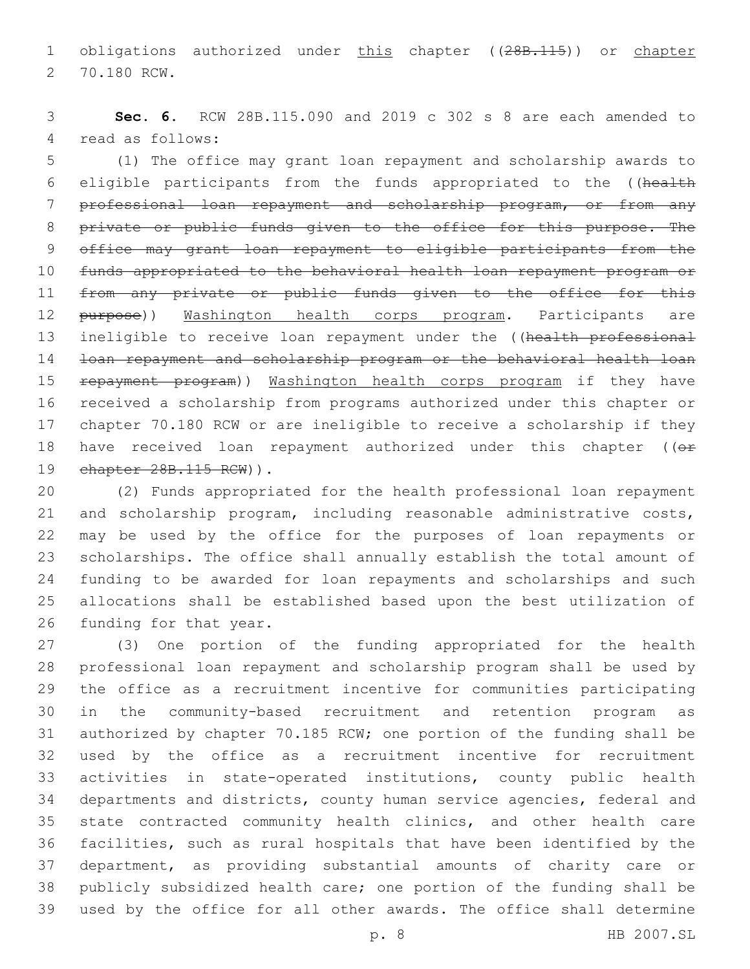1 obligations authorized under this chapter ((28B.115)) or chapter 2 70.180 RCW.

 **Sec. 6.** RCW 28B.115.090 and 2019 c 302 s 8 are each amended to 4 read as follows:

 (1) The office may grant loan repayment and scholarship awards to eligible participants from the funds appropriated to the ((health professional loan repayment and scholarship program, or from any 8 private or public funds given to the office for this purpose. The office may grant loan repayment to eligible participants from the funds appropriated to the behavioral health loan repayment program or 11 from any private or public funds given to the office for this 12 purpose)) Washington health corps program. Participants are 13 ineligible to receive loan repayment under the ((health professional loan repayment and scholarship program or the behavioral health loan 15 repayment program)) Washington health corps program if they have received a scholarship from programs authorized under this chapter or chapter 70.180 RCW or are ineligible to receive a scholarship if they 18 have received loan repayment authorized under this chapter ((or 19 chapter 28B.115 RCW) ).

 (2) Funds appropriated for the health professional loan repayment and scholarship program, including reasonable administrative costs, may be used by the office for the purposes of loan repayments or scholarships. The office shall annually establish the total amount of funding to be awarded for loan repayments and scholarships and such allocations shall be established based upon the best utilization of 26 funding for that year.

 (3) One portion of the funding appropriated for the health professional loan repayment and scholarship program shall be used by the office as a recruitment incentive for communities participating in the community-based recruitment and retention program as authorized by chapter 70.185 RCW; one portion of the funding shall be used by the office as a recruitment incentive for recruitment activities in state-operated institutions, county public health departments and districts, county human service agencies, federal and state contracted community health clinics, and other health care facilities, such as rural hospitals that have been identified by the department, as providing substantial amounts of charity care or publicly subsidized health care; one portion of the funding shall be used by the office for all other awards. The office shall determine

p. 8 HB 2007.SL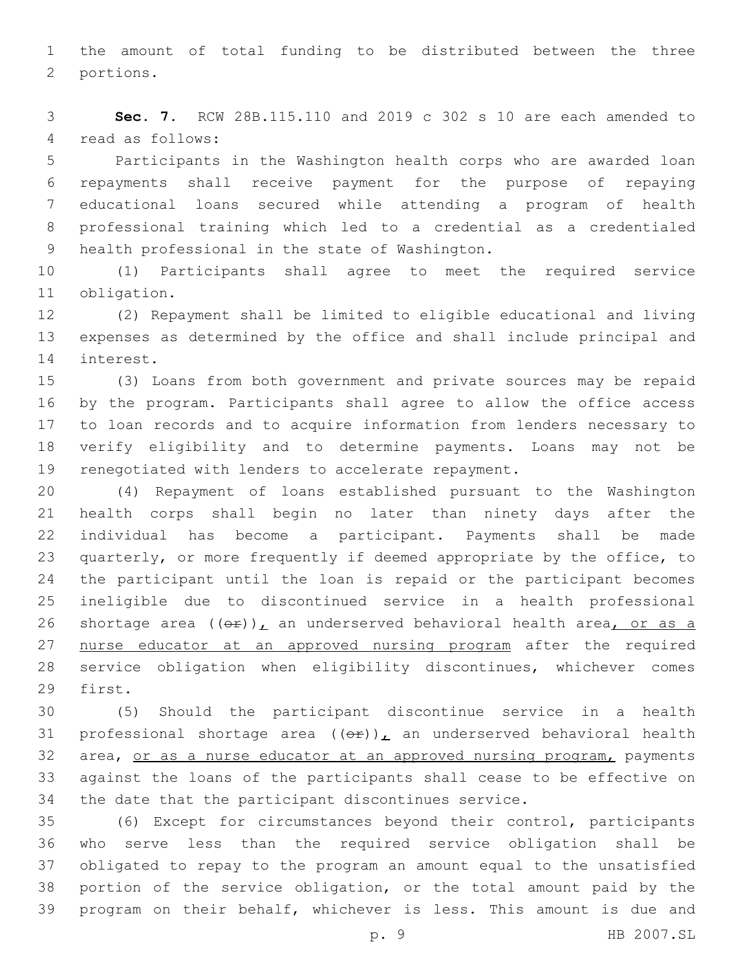the amount of total funding to be distributed between the three 2 portions.

 **Sec. 7.** RCW 28B.115.110 and 2019 c 302 s 10 are each amended to 4 read as follows:

 Participants in the Washington health corps who are awarded loan repayments shall receive payment for the purpose of repaying educational loans secured while attending a program of health professional training which led to a credential as a credentialed 9 health professional in the state of Washington.

 (1) Participants shall agree to meet the required service 11 obligation.

 (2) Repayment shall be limited to eligible educational and living expenses as determined by the office and shall include principal and 14 interest.

 (3) Loans from both government and private sources may be repaid by the program. Participants shall agree to allow the office access to loan records and to acquire information from lenders necessary to verify eligibility and to determine payments. Loans may not be renegotiated with lenders to accelerate repayment.

 (4) Repayment of loans established pursuant to the Washington health corps shall begin no later than ninety days after the individual has become a participant. Payments shall be made quarterly, or more frequently if deemed appropriate by the office, to the participant until the loan is repaid or the participant becomes ineligible due to discontinued service in a health professional 26 shortage area  $((\theta \cdot \hat{r}))_L$  an underserved behavioral health area, or as a 27 nurse educator at an approved nursing program after the required service obligation when eligibility discontinues, whichever comes 29 first.

 (5) Should the participant discontinue service in a health 31 professional shortage area  $((\theta \cdot \mathbf{r}))$ , an underserved behavioral health 32 area, or as a nurse educator at an approved nursing program, payments against the loans of the participants shall cease to be effective on the date that the participant discontinues service.

 (6) Except for circumstances beyond their control, participants who serve less than the required service obligation shall be obligated to repay to the program an amount equal to the unsatisfied portion of the service obligation, or the total amount paid by the program on their behalf, whichever is less. This amount is due and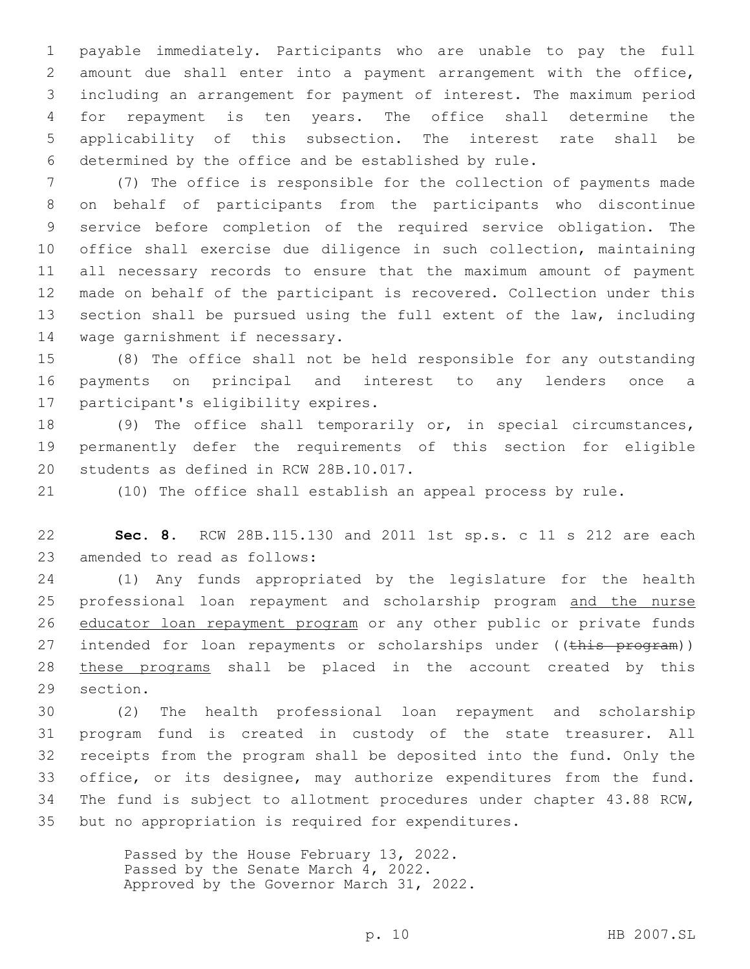payable immediately. Participants who are unable to pay the full amount due shall enter into a payment arrangement with the office, including an arrangement for payment of interest. The maximum period for repayment is ten years. The office shall determine the applicability of this subsection. The interest rate shall be determined by the office and be established by rule.

 (7) The office is responsible for the collection of payments made on behalf of participants from the participants who discontinue service before completion of the required service obligation. The office shall exercise due diligence in such collection, maintaining all necessary records to ensure that the maximum amount of payment made on behalf of the participant is recovered. Collection under this section shall be pursued using the full extent of the law, including 14 wage garnishment if necessary.

 (8) The office shall not be held responsible for any outstanding payments on principal and interest to any lenders once a 17 participant's eligibility expires.

 (9) The office shall temporarily or, in special circumstances, permanently defer the requirements of this section for eligible 20 students as defined in RCW 28B.10.017.

(10) The office shall establish an appeal process by rule.

 **Sec. 8.** RCW 28B.115.130 and 2011 1st sp.s. c 11 s 212 are each 23 amended to read as follows:

 (1) Any funds appropriated by the legislature for the health 25 professional loan repayment and scholarship program and the nurse 26 educator loan repayment program or any other public or private funds 27 intended for loan repayments or scholarships under ((this program)) these programs shall be placed in the account created by this 29 section.

 (2) The health professional loan repayment and scholarship program fund is created in custody of the state treasurer. All receipts from the program shall be deposited into the fund. Only the office, or its designee, may authorize expenditures from the fund. The fund is subject to allotment procedures under chapter 43.88 RCW, but no appropriation is required for expenditures.

> Passed by the House February 13, 2022. Passed by the Senate March 4, 2022. Approved by the Governor March 31, 2022.